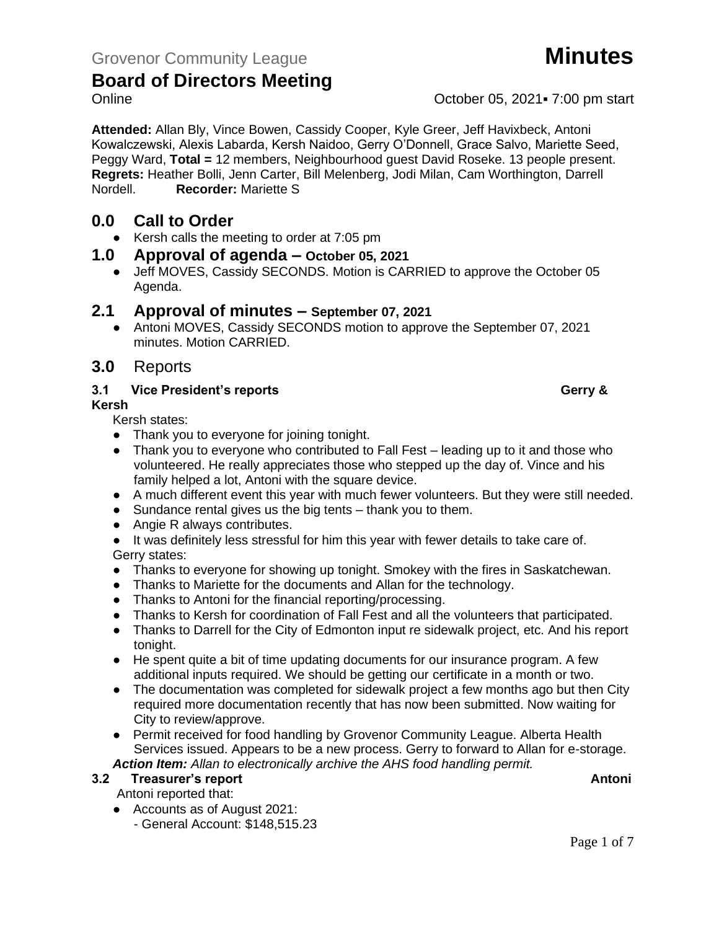**Attended:** Allan Bly, Vince Bowen, Cassidy Cooper, Kyle Greer, Jeff Havixbeck, Antoni Kowalczewski, Alexis Labarda, Kersh Naidoo, Gerry O'Donnell, Grace Salvo, Mariette Seed, Peggy Ward, **Total =** 12 members, Neighbourhood guest David Roseke. 13 people present. **Regrets:** Heather Bolli, Jenn Carter, Bill Melenberg, Jodi Milan, Cam Worthington, Darrell Nordell. **Recorder:** Mariette S

### **0.0 Call to Order**

● Kersh calls the meeting to order at 7:05 pm

#### **1.0 Approval of agenda – October 05, 2021**

● Jeff MOVES, Cassidy SECONDS. Motion is CARRIED to approve the October 05 Agenda.

#### **2.1 Approval of minutes – September 07, 2021**

• Antoni MOVES, Cassidy SECONDS motion to approve the September 07, 2021 minutes. Motion CARRIED.

#### **3.0** Reports

#### **3.1 Vice President's reports Gerry &**  Gerry &

**Kersh**

Kersh states:

- Thank you to everyone for joining tonight.
- Thank you to everyone who contributed to Fall Fest leading up to it and those who volunteered. He really appreciates those who stepped up the day of. Vince and his family helped a lot. Antoni with the square device.
- A much different event this year with much fewer volunteers. But they were still needed.
- Sundance rental gives us the big tents thank you to them.
- Angie R always contributes.

● It was definitely less stressful for him this year with fewer details to take care of. Gerry states:

- Thanks to everyone for showing up tonight. Smokey with the fires in Saskatchewan.
- Thanks to Mariette for the documents and Allan for the technology.
- Thanks to Antoni for the financial reporting/processing.
- Thanks to Kersh for coordination of Fall Fest and all the volunteers that participated.
- Thanks to Darrell for the City of Edmonton input re sidewalk project, etc. And his report tonight.
- He spent quite a bit of time updating documents for our insurance program. A few additional inputs required. We should be getting our certificate in a month or two.
- The documentation was completed for sidewalk project a few months ago but then City required more documentation recently that has now been submitted. Now waiting for City to review/approve.
- Permit received for food handling by Grovenor Community League. Alberta Health Services issued. Appears to be a new process. Gerry to forward to Allan for e-storage. *Action Item: Allan to electronically archive the AHS food handling permit.*

**3.2 Freasurer's report Antonic Structure Antonic Structure Antonic Antonic Antonic Antonic Antonic Antonic Antoni** 

#### Antoni reported that:

- Accounts as of August 2021:
	- General Account: \$148,515.23

Online Contract Contract Contract Contract Contract Contract Contract October 05, 2021 = 7:00 pm start

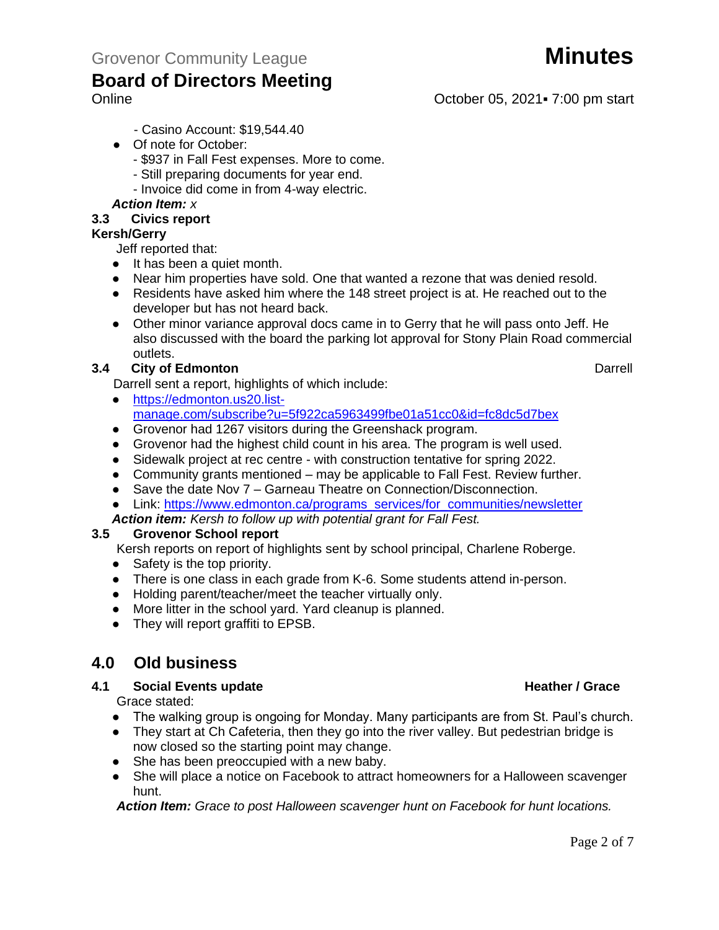- Casino Account: \$19,544.40
- Of note for October:
	- \$937 in Fall Fest expenses. More to come.
	- Still preparing documents for year end.
	- Invoice did come in from 4-way electric.

#### *Action Item: x*

#### **3.3 Civics report**

#### **Kersh/Gerry**

Jeff reported that:

- It has been a quiet month.
- Near him properties have sold. One that wanted a rezone that was denied resold.
- Residents have asked him where the 148 street project is at. He reached out to the developer but has not heard back.
- Other minor variance approval docs came in to Gerry that he will pass onto Jeff. He also discussed with the board the parking lot approval for Stony Plain Road commercial outlets.

#### **3.4 City of Edmonton** Darrell

- Darrell sent a report, highlights of which include:
- [https://edmonton.us20.list](https://edmonton.us20.list-manage.com/subscribe?u=5f922ca5963499fbe01a51cc0&id=fc8dc5d7bex)[manage.com/subscribe?u=5f922ca5963499fbe01a51cc0&id=fc8dc5d7bex](https://edmonton.us20.list-manage.com/subscribe?u=5f922ca5963499fbe01a51cc0&id=fc8dc5d7bex)
- Grovenor had 1267 visitors during the Greenshack program.
- Grovenor had the highest child count in his area. The program is well used.
- Sidewalk project at rec centre with construction tentative for spring 2022.
- Community grants mentioned may be applicable to Fall Fest. Review further.
- Save the date Nov 7 Garneau Theatre on Connection/Disconnection.

• Link: [https://www.edmonton.ca/programs\\_services/for\\_communities/newsletter](https://www.edmonton.ca/programs_services/for_communities/newsletter)

*Action item: Kersh to follow up with potential grant for Fall Fest.*

#### **3.5 Grovenor School report**

Kersh reports on report of highlights sent by school principal, Charlene Roberge.

- Safety is the top priority.
- There is one class in each grade from K-6. Some students attend in-person.
- Holding parent/teacher/meet the teacher virtually only.
- More litter in the school yard. Yard cleanup is planned.
- They will report graffiti to EPSB.

### **4.0 Old business**

#### **4.1 Social Events update All Accords Events update All Accords Events All Accords Events All Accords Events All Accords All Accords All Accords All Accords All Accords All Accords All Accords All Accords All Accords All**

Grace stated:

- The walking group is ongoing for Monday. Many participants are from St. Paul's church.
- They start at Ch Cafeteria, then they go into the river valley. But pedestrian bridge is now closed so the starting point may change.
- She has been preoccupied with a new baby.
- She will place a notice on Facebook to attract homeowners for a Halloween scavenger hunt.

*Action Item: Grace to post Halloween scavenger hunt on Facebook for hunt locations.*

Online Contract Contract Contract Contract Contract Contract Contract October 05, 2021 = 7:00 pm start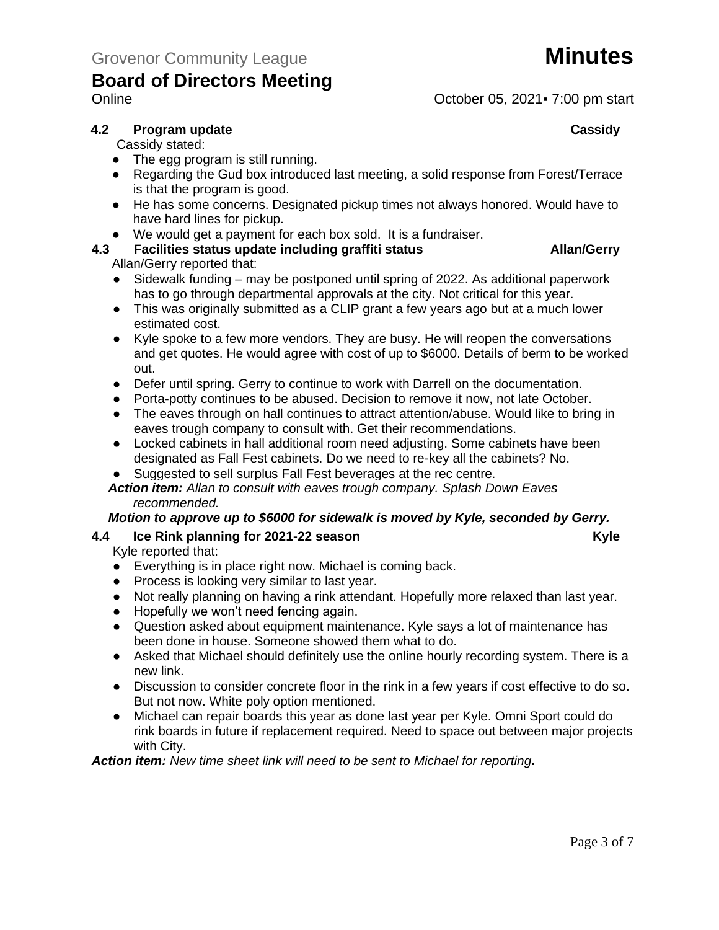

Online Contract Contract Contract Contract Contract Contract Contract October 05, 2021 = 7:00 pm start

#### **4.2 Program update Cassidy**

Cassidy stated:

- The egg program is still running.
- Regarding the Gud box introduced last meeting, a solid response from Forest/Terrace is that the program is good.
- He has some concerns. Designated pickup times not always honored. Would have to have hard lines for pickup.
- We would get a payment for each box sold. It is a fundraiser.

# **4.3 Facilities status update including graffiti status Allan/Gerry**

Allan/Gerry reported that:

- Sidewalk funding may be postponed until spring of 2022. As additional paperwork has to go through departmental approvals at the city. Not critical for this year.
- This was originally submitted as a CLIP grant a few years ago but at a much lower estimated cost.
- Kyle spoke to a few more vendors. They are busy. He will reopen the conversations and get quotes. He would agree with cost of up to \$6000. Details of berm to be worked out.
- Defer until spring. Gerry to continue to work with Darrell on the documentation.
- Porta-potty continues to be abused. Decision to remove it now, not late October.
- The eaves through on hall continues to attract attention/abuse. Would like to bring in eaves trough company to consult with. Get their recommendations.
- Locked cabinets in hall additional room need adjusting. Some cabinets have been designated as Fall Fest cabinets. Do we need to re-key all the cabinets? No.
- Suggested to sell surplus Fall Fest beverages at the rec centre.

#### *Action item: Allan to consult with eaves trough company. Splash Down Eaves recommended.*

#### *Motion to approve up to \$6000 for sidewalk is moved by Kyle, seconded by Gerry.*

#### **4.4 Ice Rink planning for 2021-22 season Kyle**

Kyle reported that:

- Everything is in place right now. Michael is coming back.
- Process is looking very similar to last year.
- Not really planning on having a rink attendant. Hopefully more relaxed than last year.
- Hopefully we won't need fencing again.
- Question asked about equipment maintenance. Kyle says a lot of maintenance has been done in house. Someone showed them what to do.
- Asked that Michael should definitely use the online hourly recording system. There is a new link.
- Discussion to consider concrete floor in the rink in a few years if cost effective to do so. But not now. White poly option mentioned.
- Michael can repair boards this year as done last year per Kyle. Omni Sport could do rink boards in future if replacement required. Need to space out between major projects with City.

*Action item: New time sheet link will need to be sent to Michael for reporting.*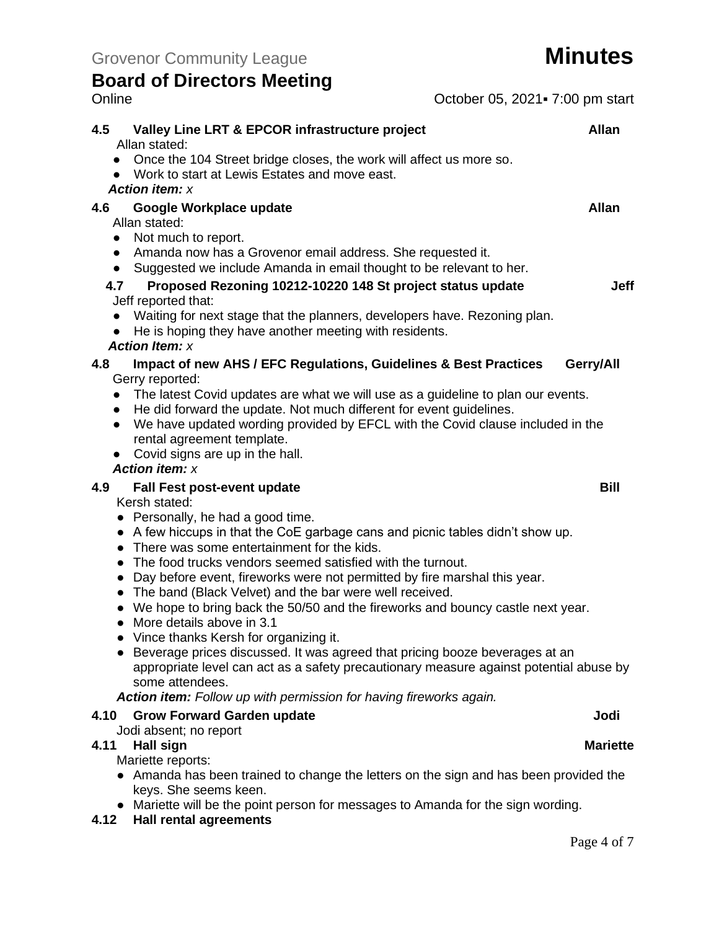| <b>Board of Directors Meeting</b>                                                                                                                                                                                                                                    |                                                                                                                                                                                                                                                                                                                                                                                                                                                                                                                                                                                                                           |                      |
|----------------------------------------------------------------------------------------------------------------------------------------------------------------------------------------------------------------------------------------------------------------------|---------------------------------------------------------------------------------------------------------------------------------------------------------------------------------------------------------------------------------------------------------------------------------------------------------------------------------------------------------------------------------------------------------------------------------------------------------------------------------------------------------------------------------------------------------------------------------------------------------------------------|----------------------|
| Online                                                                                                                                                                                                                                                               | October 05, 2021 - 7:00 pm start                                                                                                                                                                                                                                                                                                                                                                                                                                                                                                                                                                                          |                      |
| 4.5<br>Allan stated:<br>Work to start at Lewis Estates and move east.<br><b>Action item: x</b>                                                                                                                                                                       | Valley Line LRT & EPCOR infrastructure project<br>Once the 104 Street bridge closes, the work will affect us more so.                                                                                                                                                                                                                                                                                                                                                                                                                                                                                                     | <b>Allan</b>         |
| 4.6<br>Google Workplace update<br>Allan stated:<br>• Not much to report.<br>$\bullet$<br>4.7<br>Jeff reported that:                                                                                                                                                  | • Amanda now has a Grovenor email address. She requested it.<br>Suggested we include Amanda in email thought to be relevant to her.<br>Proposed Rezoning 10212-10220 148 St project status update<br>Waiting for next stage that the planners, developers have. Rezoning plan.                                                                                                                                                                                                                                                                                                                                            | <b>Allan</b><br>Jeff |
| <b>Action Item: x</b>                                                                                                                                                                                                                                                | He is hoping they have another meeting with residents.                                                                                                                                                                                                                                                                                                                                                                                                                                                                                                                                                                    |                      |
| 4.8<br>Gerry reported:<br>$\bullet$<br>$\bullet$<br>rental agreement template.<br>Covid signs are up in the hall.<br><b>Action item: x</b>                                                                                                                           | Impact of new AHS / EFC Regulations, Guidelines & Best Practices<br>The latest Covid updates are what we will use as a guideline to plan our events.<br>• He did forward the update. Not much different for event guidelines.<br>We have updated wording provided by EFCL with the Covid clause included in the                                                                                                                                                                                                                                                                                                           | Gerry/All            |
| 4.9<br><b>Fall Fest post-event update</b><br>Kersh stated:<br>• Personally, he had a good time.<br>• There was some entertainment for the kids.<br>$\bullet$<br>More details above in 3.1<br>• Vince thanks Kersh for organizing it.<br>$\bullet$<br>some attendees. | • A few hiccups in that the CoE garbage cans and picnic tables didn't show up.<br>The food trucks vendors seemed satisfied with the turnout.<br>• Day before event, fireworks were not permitted by fire marshal this year.<br>The band (Black Velvet) and the bar were well received.<br>• We hope to bring back the 50/50 and the fireworks and bouncy castle next year.<br>Beverage prices discussed. It was agreed that pricing booze beverages at an<br>appropriate level can act as a safety precautionary measure against potential abuse by<br>Action item: Follow up with permission for having fireworks again. | <b>Bill</b>          |
| <b>Grow Forward Garden update</b><br>4.10                                                                                                                                                                                                                            |                                                                                                                                                                                                                                                                                                                                                                                                                                                                                                                                                                                                                           | Jodi                 |
| Jodi absent; no report<br><b>Hall sign</b><br>4.11<br>Mariette reports:                                                                                                                                                                                              | • Amanda has been trained to change the letters on the sign and has been provided the                                                                                                                                                                                                                                                                                                                                                                                                                                                                                                                                     | <b>Mariette</b>      |

keys. She seems keen. ● Mariette will be the point person for messages to Amanda for the sign wording.

**4.12 Hall rental agreements**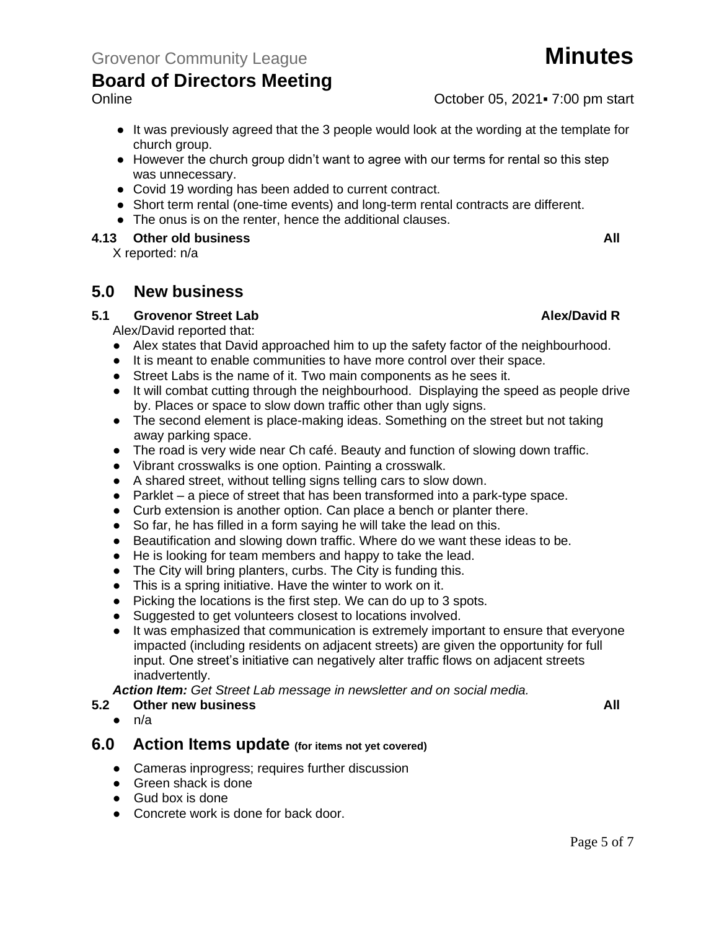Online Contract Contract Contract Contract Contract Contract Contract October 05, 2021 = 7:00 pm start

- It was previously agreed that the 3 people would look at the wording at the template for church group.
- However the church group didn't want to agree with our terms for rental so this step was unnecessary.
- Covid 19 wording has been added to current contract.
- Short term rental (one-time events) and long-term rental contracts are different.
- The onus is on the renter, hence the additional clauses.

#### **4.13 Other old business All**

X reported: n/a

#### **5.0 New business**

#### **5.1 Grovenor Street Lab Alex/David R**

Alex/David reported that:

- Alex states that David approached him to up the safety factor of the neighbourhood.
- It is meant to enable communities to have more control over their space.
- Street Labs is the name of it. Two main components as he sees it.
- It will combat cutting through the neighbourhood. Displaying the speed as people drive by. Places or space to slow down traffic other than ugly signs.
- The second element is place-making ideas. Something on the street but not taking away parking space.
- The road is very wide near Ch café. Beauty and function of slowing down traffic.
- Vibrant crosswalks is one option. Painting a crosswalk.
- A shared street, without telling signs telling cars to slow down.
- Parklet a piece of street that has been transformed into a park-type space.
- Curb extension is another option. Can place a bench or planter there.
- So far, he has filled in a form saying he will take the lead on this.
- Beautification and slowing down traffic. Where do we want these ideas to be.
- He is looking for team members and happy to take the lead.
- The City will bring planters, curbs. The City is funding this.
- This is a spring initiative. Have the winter to work on it.
- Picking the locations is the first step. We can do up to 3 spots.
- Suggested to get volunteers closest to locations involved.
- It was emphasized that communication is extremely important to ensure that everyone impacted (including residents on adjacent streets) are given the opportunity for full input. One street's initiative can negatively alter traffic flows on adjacent streets inadvertently.

*Action Item: Get Street Lab message in newsletter and on social media.* 

#### **5.2 Other new business All**

 $\bullet$  n/a

#### **6.0 Action Items update (for items not yet covered)**

- Cameras inprogress; requires further discussion
- Green shack is done
- Gud box is done
- Concrete work is done for back door.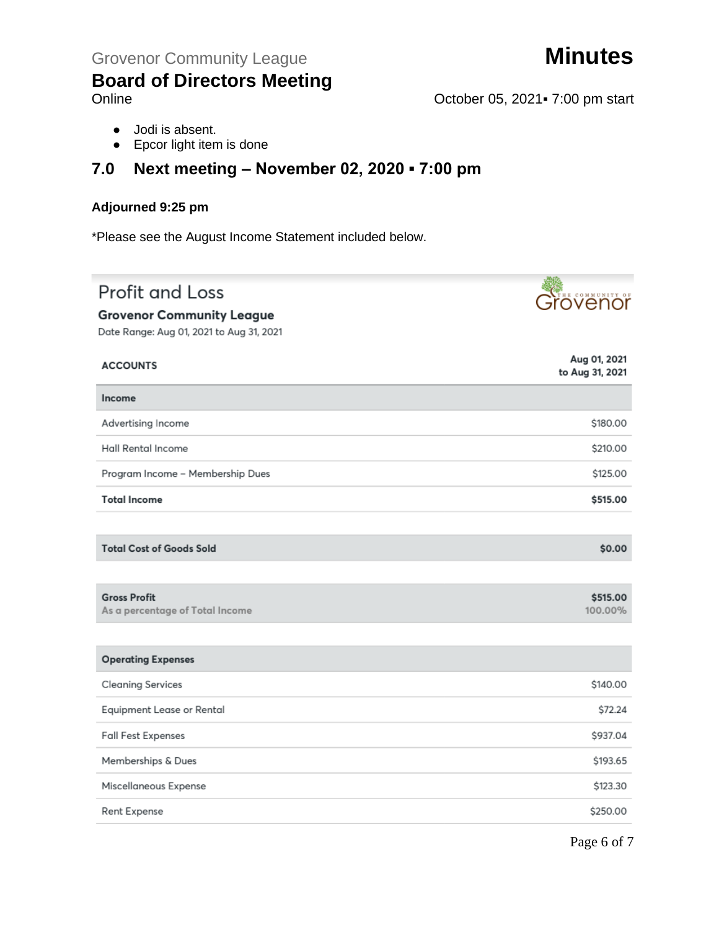

- Online October 05, 2021 · 7:00 pm start
	- Jodi is absent.
	- Epcor light item is done

### **7.0 Next meeting – November 02, 2020 ▪ 7:00 pm**

#### **Adjourned 9:25 pm**

\*Please see the August Income Statement included below.

# **Profit and Loss**

#### **Grovenor Community League**

Grovenor

Date Range: Aug 01, 2021 to Aug 31, 2021

| <b>ACCOUNTS</b>                                        | Aug 01, 2021<br>to Aug 31, 2021 |
|--------------------------------------------------------|---------------------------------|
| Income                                                 |                                 |
| Advertising Income                                     | \$180.00                        |
| <b>Hall Rental Income</b>                              | \$210.00                        |
| Program Income - Membership Dues                       | \$125.00                        |
| <b>Total Income</b>                                    | \$515.00                        |
|                                                        |                                 |
| <b>Total Cost of Goods Sold</b>                        | \$0.00                          |
|                                                        |                                 |
| <b>Gross Profit</b><br>As a percentage of Total Income | \$515.00<br>100.00%             |
|                                                        |                                 |
| <b>Operating Expenses</b>                              |                                 |
| <b>Cleaning Services</b>                               | \$140.00                        |
| Equipment Lease or Rental                              | \$72.24                         |
| <b>Fall Fest Expenses</b>                              | \$937.04                        |
| Memberships & Dues                                     | \$193.65                        |
| Miscellaneous Expense                                  | \$123.30                        |
| Rent Expense                                           | \$250.00                        |